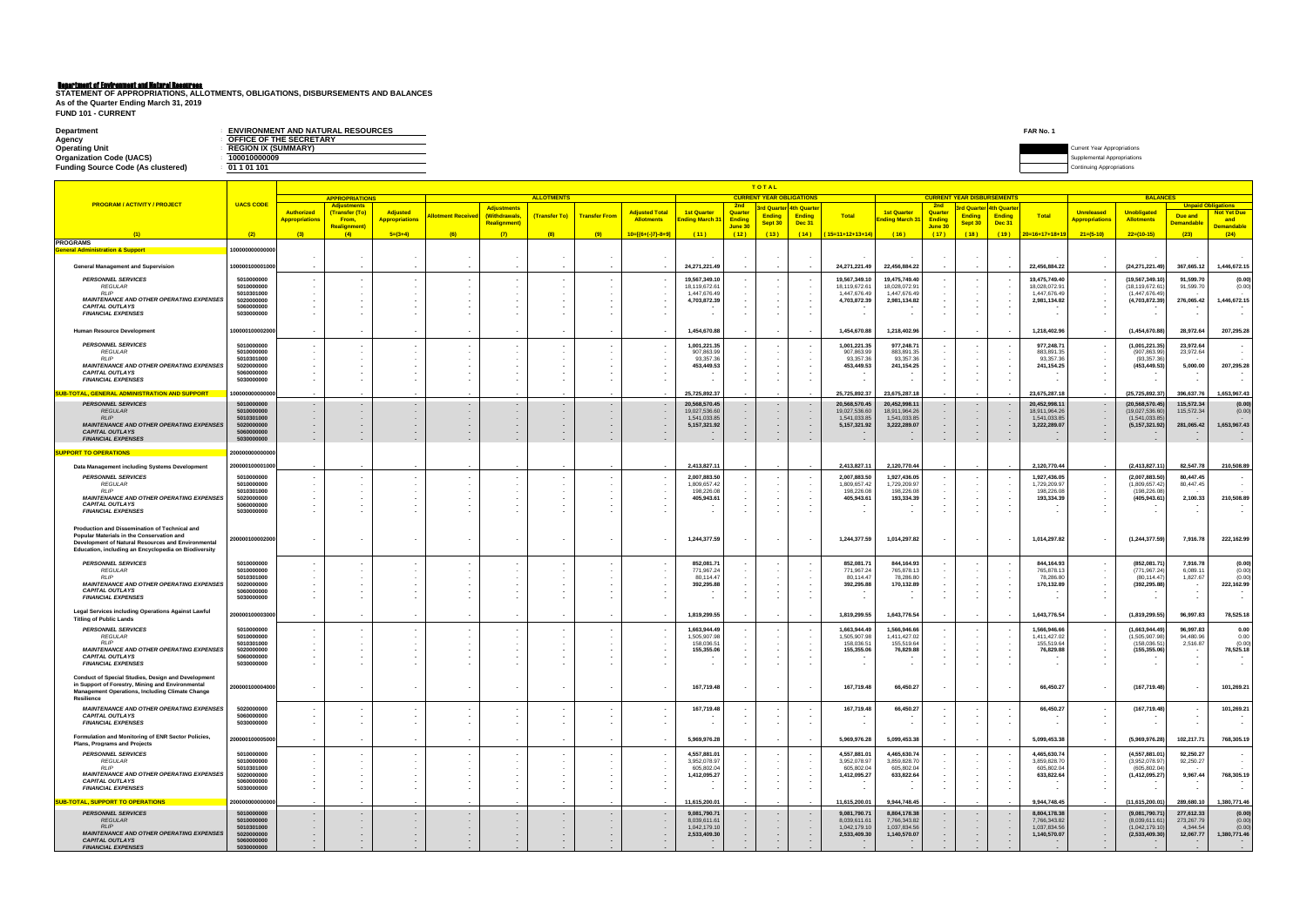**FUND 101 - CURRENT**

| Department                                | <b>ENVIRONMENT AND NATURAL RESOURCES</b> | <b>FAR No.</b> |                                    |
|-------------------------------------------|------------------------------------------|----------------|------------------------------------|
| Agency                                    | <b>PEFICE OF THE SECRETARY</b>           |                |                                    |
| <b>Operating Unit</b>                     | <b>REGION IX (SUMMARY)</b>               |                | <b>Current Year Appropriations</b> |
| <b>Organization Code (UACS)</b>           | 100010000009                             |                | al Annronriation⊆                  |
| <b>Funding Source Code (As clustered)</b> | 01 1 01 1 01                             |                |                                    |
|                                           |                                          |                |                                    |

|                                                                                                                                                                         |                          |                                            |                                             |                                          |                          |                                    |                          |                      |                                            |                                     |                          | TOTAL<br><b>CURRENT YEAR OBLIGATIONS</b> |                                    |                              |                                      |                                    |                 |                                                                  |                               | <b>BALANCES</b>                            |                                   |                           |                                        |  |
|-------------------------------------------------------------------------------------------------------------------------------------------------------------------------|--------------------------|--------------------------------------------|---------------------------------------------|------------------------------------------|--------------------------|------------------------------------|--------------------------|----------------------|--------------------------------------------|-------------------------------------|--------------------------|------------------------------------------|------------------------------------|------------------------------|--------------------------------------|------------------------------------|-----------------|------------------------------------------------------------------|-------------------------------|--------------------------------------------|-----------------------------------|---------------------------|----------------------------------------|--|
| <b>PROGRAM / ACTIVITY / PROJECT</b>                                                                                                                                     | <b>UACS CODE</b>         |                                            | <b>APPROPRIATIONS</b><br><b>Adjustments</b> |                                          |                          | <b>Adjustments</b>                 | <b>ALLOTMENTS</b>        |                      |                                            |                                     | 2nd                      |                                          | <mark>rd Quarter 4th Quarte</mark> |                              |                                      | 2nd                                |                 | <b>CURRENT YEAR DISBURSEMENTS</b><br><u>l Quarter 4th Quarte</u> |                               |                                            |                                   | <b>Unpaid Obligations</b> |                                        |  |
|                                                                                                                                                                         |                          | <b>Authorized</b><br><b>Appropriations</b> | (Transfer (To)<br>From,                     | <b>Adjusted</b><br><b>Appropriations</b> | <b>Iotment Receive</b>   | (Withdrawals,                      | (Transfer To)            | <b>Transfer From</b> | <b>Adjusted Total</b><br><b>Allotments</b> | <b>1st Quarter</b><br>nding March 3 | Quarter<br><b>Ending</b> | <b>Ending</b>                            | <b>Ending</b>                      | <b>Total</b>                 | <b>1st Quarter</b><br>Inding March 3 | Quarter<br><b>Ending</b>           | <b>Ending</b>   | <b>Ending</b>                                                    | <b>Total</b>                  | <b>Unreleased</b><br><b>Appropriations</b> | Unobligated<br><b>Allotments</b>  | Due and                   | <b>Not Yet Due</b><br>and              |  |
|                                                                                                                                                                         |                          |                                            | <b>Realignment</b> )                        | $5=(3+4)$                                | (6)                      | <b>Realignment</b> )<br>(7)        |                          |                      | $10=[(6+(-)7)-8+9]$                        |                                     | June 30<br>(12)          | Sept 30<br>(13)                          | Dec 31<br>(14)                     | (15=11+12+13+14              |                                      | <mark>June 30</mark><br>(17)       | Sept 30<br>(18) | <b>Dec 31</b><br>(19)                                            | $20=16+17+18+19$              | $21=(5-10)$                                | $22=(10-15)$                      | <b>Demandable</b><br>(23) | <mark>Demandable</mark><br>(24)        |  |
| <b>PROGRAMS</b>                                                                                                                                                         | (2)                      | (3)                                        | (4)                                         |                                          |                          |                                    | (8)                      | (9)                  |                                            | (11)                                |                          |                                          |                                    |                              | (16)                                 |                                    |                 |                                                                  |                               |                                            |                                   |                           |                                        |  |
| <b>General Administration &amp; Support</b>                                                                                                                             | 100000000000000          |                                            |                                             |                                          |                          |                                    |                          |                      |                                            |                                     |                          |                                          |                                    |                              |                                      |                                    |                 |                                                                  |                               |                                            |                                   |                           |                                        |  |
| <b>General Management and Supervision</b>                                                                                                                               | 100000100001000          |                                            |                                             |                                          |                          |                                    |                          |                      |                                            | 24,271,221.49                       |                          |                                          |                                    | 24, 271, 221.49              | 22,456,884.22                        |                                    |                 |                                                                  | 22,456,884.22                 |                                            | (24, 271, 221.49)                 | 367,665.12                | 1,446,672.15                           |  |
| <b>PERSONNEL SERVICES</b>                                                                                                                                               | 5010000000               |                                            |                                             |                                          |                          | $\sim$                             |                          |                      |                                            | 19,567,349.10                       |                          |                                          |                                    | 19,567,349.1                 | 19,475,749.40                        |                                    |                 |                                                                  | 19,475,749.40                 |                                            | (19,567,349.10)                   | 91,599.70                 | (0.00)                                 |  |
| <b>REGULAR</b><br><b>RLIP</b>                                                                                                                                           | 5010000000<br>5010301000 |                                            |                                             |                                          |                          | $\sim$                             |                          |                      |                                            | 18,119,672.61<br>1,447,676.49       |                          |                                          |                                    | 18,119,672.6<br>1,447,676.49 | 18,028,072.9<br>1,447,676.49         |                                    |                 |                                                                  | 18,028,072.91<br>1,447,676.49 |                                            | (18,119,672.61<br>(1,447,676.49)  | 91,599.70                 | (0.00)                                 |  |
| <b>MAINTENANCE AND OTHER OPERATING EXPENSES</b>                                                                                                                         | 5020000000               |                                            |                                             |                                          |                          |                                    |                          |                      |                                            | 4,703,872.39                        |                          |                                          |                                    | 4,703,872.39                 | 2,981,134.82                         |                                    |                 |                                                                  | 2,981,134.82                  |                                            | (4,703,872.39)                    | 276,065.42                | 1,446,672.15                           |  |
| <b>CAPITAL OUTLAYS</b><br><b>FINANCIAL EXPENSES</b>                                                                                                                     | 5060000000<br>5030000000 |                                            |                                             |                                          |                          | $\sim$                             |                          |                      |                                            |                                     |                          |                                          |                                    |                              |                                      |                                    |                 |                                                                  |                               |                                            |                                   |                           |                                        |  |
| Human Resource Development                                                                                                                                              | 00000100002000           |                                            |                                             |                                          |                          |                                    |                          |                      |                                            | 1,454,670.88                        |                          |                                          |                                    | 1,454,670.88                 | 1,218,402.96                         |                                    |                 | $\sim$                                                           | 1,218,402.96                  |                                            | (1,454,670.88)                    | 28,972.64                 | 207,295.28                             |  |
| <b>PERSONNEL SERVICES</b>                                                                                                                                               | 5010000000               |                                            |                                             |                                          |                          |                                    |                          |                      |                                            | 1,001,221.35                        |                          |                                          |                                    | 1,001,221.3                  | 977,248.7                            |                                    |                 |                                                                  | 977,248.71                    |                                            | (1,001,221.35)                    | 23,972.64                 |                                        |  |
| <b>REGULAR</b><br><b>RLIP</b>                                                                                                                                           | 5010000000<br>5010301000 |                                            |                                             |                                          |                          | $\sim$                             |                          |                      |                                            | 907,863.99<br>93,357.36             |                          |                                          |                                    | 907,863.9<br>93,357.36       | 883,891.35<br>93,357.36              |                                    |                 |                                                                  | 883,891.35<br>93,357.36       |                                            | (907,863.99<br>(93, 357.36)       | 23,972.64                 |                                        |  |
| <b>MAINTENANCE AND OTHER OPERATING EXPENSES</b>                                                                                                                         | 5020000000<br>5060000000 |                                            |                                             |                                          |                          |                                    |                          |                      |                                            | 453,449.53                          |                          |                                          |                                    | 453,449.53                   | 241, 154. 25                         |                                    |                 |                                                                  | 241,154.25                    |                                            | (453, 449.53)                     | 5,000.00                  | 207,295.28                             |  |
| <b>CAPITAL OUTLAYS</b><br><b>FINANCIAL EXPENSES</b>                                                                                                                     | 5030000000               |                                            |                                             |                                          |                          |                                    |                          |                      |                                            |                                     |                          |                                          |                                    |                              |                                      |                                    |                 |                                                                  |                               |                                            |                                   |                           |                                        |  |
| SUB-TOTAL, GENERAL ADMINISTRATION AND SUPPORT                                                                                                                           | 100000000000000          |                                            |                                             |                                          |                          |                                    |                          |                      |                                            | 25,725,892.37                       |                          |                                          |                                    | 25,725,892.37                | 23,675,287.18                        |                                    |                 |                                                                  | 23,675,287.18                 |                                            | (25, 725, 892.37)                 | 396,637.76                | 1,653,967.43                           |  |
| <b>PERSONNEL SERVICES</b>                                                                                                                                               | 5010000000               | $\sim$                                     |                                             |                                          |                          |                                    |                          |                      |                                            | 20,568,570.45                       |                          |                                          |                                    | 20,568,570.4                 | 20,452,998.1                         |                                    |                 |                                                                  | 20,452,998.11                 |                                            | (20, 568, 570.45)                 | 115,572.34                | (0.00)                                 |  |
| <b>REGULAR</b><br><b>RLIP</b>                                                                                                                                           | 5010000000<br>5010301000 |                                            |                                             |                                          |                          | $\sim$                             |                          |                      |                                            | 19,027,536.60<br>1.541.033.85       |                          |                                          |                                    | 19,027,536.6<br>1,541,033.8  | 18,911,964.26<br>1,541,033.85        |                                    |                 |                                                                  | 18,911,964.26<br>1,541,033.85 |                                            | (19,027,536.60)<br>(1,541,033.85) | 115,572.34                | (0.00)                                 |  |
| <b>MAINTENANCE AND OTHER OPERATING EXPENSES</b><br><b>CAPITAL OUTLAYS</b>                                                                                               | 5020000000<br>5060000000 |                                            |                                             |                                          |                          | $\sim$<br>$\sim$                   | $\overline{\phantom{a}}$ |                      |                                            | 5, 157, 321. 92                     |                          |                                          |                                    | 5, 157, 321.92               | 3,222,289.07                         |                                    |                 |                                                                  | 3,222,289.07                  |                                            | (5, 157, 321.92)                  | 281,065.42                | 1,653,967.43                           |  |
| <b>FINANCIAL EXPENSES</b>                                                                                                                                               | 5030000000               |                                            |                                             |                                          |                          |                                    |                          |                      |                                            |                                     |                          |                                          |                                    |                              |                                      | $\sim$                             |                 | $\sim$                                                           |                               | $\overline{\phantom{a}}$                   |                                   |                           |                                        |  |
| <b>SUPPORT TO OPERATIONS</b>                                                                                                                                            | 200000000000000          |                                            |                                             |                                          |                          |                                    |                          |                      |                                            |                                     |                          |                                          |                                    |                              |                                      |                                    |                 |                                                                  |                               |                                            |                                   |                           |                                        |  |
| Data Management including Systems Development                                                                                                                           | 200000100001000          |                                            |                                             |                                          |                          |                                    |                          |                      |                                            | 2,413,827.11                        |                          |                                          |                                    | 2.413.827.11                 | 2,120,770.44                         |                                    |                 |                                                                  | 2,120,770.44                  |                                            | (2, 413, 827.11)                  | 82,547.78                 | 210,508.89                             |  |
| <b>PERSONNEL SERVICES</b>                                                                                                                                               | 5010000000               |                                            |                                             |                                          |                          | $\sim$                             |                          |                      |                                            | 2,007,883.50                        |                          |                                          |                                    | 2,007,883.50                 | 1,927,436.0                          |                                    |                 |                                                                  | 1,927,436.05                  |                                            | (2,007,883.50                     | 80,447.45                 |                                        |  |
| <b>REGULAR</b><br><b>RLIP</b>                                                                                                                                           | 5010000000<br>5010301000 |                                            |                                             |                                          |                          | $\sim$                             |                          |                      | $\sim$                                     | 1,809,657.42<br>198,226.08          |                          |                                          |                                    | 1,809,657.42<br>198,226.0    | 1,729,209.97<br>198,226.08           |                                    |                 |                                                                  | 1,729,209.97<br>198,226.08    |                                            | (1,809,657.42)<br>(198, 226.08)   | 80,447.45                 |                                        |  |
| <b>MAINTENANCE AND OTHER OPERATING EXPENSES</b><br><b>CAPITAL OUTLAYS</b>                                                                                               | 5020000000<br>5060000000 |                                            |                                             |                                          |                          |                                    |                          |                      |                                            | 405,943.61                          |                          |                                          |                                    | 405,943.61                   | 193,334.39                           |                                    |                 |                                                                  | 193,334.39                    |                                            | (405, 943.61)                     | 2,100.33                  | 210,508.89                             |  |
| <b>FINANCIAL EXPENSES</b>                                                                                                                                               | 5030000000               |                                            |                                             |                                          |                          |                                    |                          |                      |                                            |                                     |                          |                                          |                                    |                              |                                      |                                    |                 |                                                                  |                               |                                            |                                   |                           |                                        |  |
| Production and Dissemination of Technical and<br>Popular Materials in the Conservation and                                                                              | 200000100002000          |                                            |                                             |                                          |                          |                                    |                          |                      |                                            | 1,244,377.59                        |                          |                                          |                                    | 1,244,377.59                 | 1,014,297.82                         |                                    |                 |                                                                  | 1,014,297.82                  |                                            | (1, 244, 377.59)                  | 7,916.78                  | 222,162.99                             |  |
| Development of Natural Resources and Environmental<br>Education, including an Encyclopedia on Biodiversity                                                              |                          |                                            |                                             |                                          |                          |                                    |                          |                      |                                            |                                     |                          |                                          |                                    |                              |                                      |                                    |                 |                                                                  |                               |                                            |                                   |                           |                                        |  |
| <b>PERSONNEL SERVICES</b><br><b>REGULAR</b>                                                                                                                             | 5010000000               |                                            |                                             |                                          |                          |                                    |                          |                      |                                            | 852,081.71                          |                          |                                          |                                    | 852,081.7                    | 844,164.93                           |                                    |                 |                                                                  | 844,164.93                    |                                            | (852,081.71)                      | 7,916.78                  | (0.00)                                 |  |
| RLIP                                                                                                                                                                    | 5010000000<br>5010301000 |                                            |                                             |                                          |                          |                                    |                          |                      |                                            | 771,967.24<br>80,114.47             |                          |                                          |                                    | 771,967.24<br>80,114.47      | 765,878.13<br>78,286.80              |                                    |                 |                                                                  | 765,878.13<br>78,286.80       |                                            | (771, 967.24)<br>(80, 114.47)     | 6,089.11<br>1,827.67      | (0.00)<br>(0.00)                       |  |
| <b>MAINTENANCE AND OTHER OPERATING EXPENSES</b><br><b>CAPITAL OUTLAYS</b>                                                                                               | 5020000000<br>5060000000 |                                            |                                             |                                          |                          |                                    |                          |                      |                                            | 392,295.88                          |                          |                                          |                                    | 392,295.88                   | 170,132.89                           |                                    |                 |                                                                  | 170,132.89                    |                                            | (392, 295.88)                     |                           | 222,162.99                             |  |
| <b>FINANCIAL EXPENSES</b>                                                                                                                                               | 5030000000               |                                            |                                             |                                          |                          |                                    |                          |                      |                                            |                                     |                          |                                          |                                    |                              |                                      |                                    |                 |                                                                  |                               |                                            |                                   |                           |                                        |  |
| <b>Legal Services including Operations Against Lawful</b><br><b>Titling of Public Lands</b>                                                                             | 200000100003000          |                                            |                                             |                                          |                          |                                    |                          |                      | $\sim$                                     | 1,819,299.55                        |                          | $\sim$                                   | $\sim$                             | 1,819,299.55                 | 1,643,776.54                         |                                    |                 | $\sim$                                                           | 1,643,776.54                  |                                            | (1,819,299.55)                    | 96,997.83                 | 78,525.18                              |  |
| <b>PERSONNEL SERVICES</b><br><b>REGULAR</b>                                                                                                                             | 5010000000<br>5010000000 |                                            |                                             |                                          |                          |                                    |                          |                      |                                            | 1,663,944.49<br>1,505,907.98        |                          |                                          |                                    | 1,663,944.49<br>1,505,907.98 | 1,566,946.6<br>1,411,427.02          |                                    |                 |                                                                  | 1,566,946.66<br>1,411,427.02  |                                            | (1,663,944.49)<br>(1,505,907.98)  | 96,997.83<br>94,480.96    | 0.00<br>0.00                           |  |
| <b>RLIP</b>                                                                                                                                                             | 5010301000               |                                            |                                             |                                          |                          |                                    |                          |                      |                                            | 158,036.51                          |                          |                                          |                                    | 158,036.5                    | 155,519.64                           |                                    |                 |                                                                  | 155,519.64                    |                                            | (158, 036.51)                     | 2,516.87                  | (0.00)                                 |  |
| <b>MAINTENANCE AND OTHER OPERATING EXPENSES</b><br><b>CAPITAL OUTLAYS</b>                                                                                               | 5020000000<br>5060000000 |                                            |                                             |                                          |                          |                                    |                          |                      |                                            | 155,355.06                          |                          |                                          |                                    | 155,355.06                   | 76,829.88                            |                                    |                 |                                                                  | 76,829.88                     |                                            | (155, 355.06)                     |                           | 78,525.18                              |  |
| <b>FINANCIAL EXPENSES</b>                                                                                                                                               | 5030000000               |                                            |                                             |                                          |                          |                                    |                          |                      |                                            |                                     |                          |                                          |                                    |                              |                                      |                                    |                 |                                                                  |                               |                                            |                                   |                           |                                        |  |
| <b>Conduct of Special Studies, Design and Development</b><br>in Support of Forestry, Mining and Environmental<br><b>Management Operations, Including Climate Change</b> | 200000100004000          |                                            |                                             |                                          | $\overline{\phantom{a}}$ | $\sim$                             | $\overline{\phantom{a}}$ |                      |                                            | 167,719.48                          |                          |                                          |                                    | 167,719.48                   | 66,450.27                            |                                    |                 |                                                                  | 66,450.27                     |                                            | (167, 719.48)                     |                           | 101,269.21                             |  |
| <b>Resilience</b>                                                                                                                                                       |                          |                                            |                                             |                                          |                          |                                    |                          |                      |                                            |                                     |                          |                                          |                                    |                              |                                      |                                    |                 |                                                                  |                               |                                            |                                   |                           |                                        |  |
| <b>MAINTENANCE AND OTHER OPERATING EXPENSES</b><br><b>CAPITAL OUTLAYS</b>                                                                                               | 5020000000<br>5060000000 |                                            |                                             |                                          |                          | $\overline{\phantom{a}}$<br>$\sim$ | $\blacksquare$           |                      | $\overline{\phantom{a}}$<br>$\sim$         | 167,719.48                          | $\sim$                   |                                          |                                    | 167,719.48                   | 66,450.27                            |                                    |                 | $\sim$                                                           | 66,450.27                     |                                            | (167, 719.48)                     |                           | 101,269.21                             |  |
| <b>FINANCIAL EXPENSES</b>                                                                                                                                               | 5030000000               |                                            |                                             |                                          |                          | $\overline{\phantom{a}}$           |                          |                      | $\overline{\phantom{a}}$                   |                                     |                          |                                          |                                    |                              |                                      |                                    |                 | $\sim$                                                           |                               |                                            |                                   | $\blacksquare$            | $\overline{\phantom{a}}$               |  |
| Formulation and Monitoring of ENR Sector Policies,<br><b>Plans, Programs and Projects</b>                                                                               | 200000100005000          |                                            |                                             |                                          |                          | $\sim$                             |                          |                      | $\sim$                                     | 5,969,976.28                        | $\sim$                   | $\sim$                                   | $\sim$ $-$                         | 5,969,976.28                 | 5,099,453.38                         |                                    |                 | $\sim$                                                           | 5,099,453.38                  |                                            | (5,969,976.28)                    | 102,217.71                | 768,305.19                             |  |
| <b>PERSONNEL SERVICES</b>                                                                                                                                               | 5010000000               | $\sim$                                     |                                             |                                          |                          | $\sim$                             |                          |                      | $\sim$                                     | 4,557,881.01                        |                          |                                          |                                    | 4,557,881.01                 | 4,465,630.74                         |                                    |                 |                                                                  | 4,465,630.74                  |                                            | (4,557,881.01)                    | 92,250.27                 |                                        |  |
| <b>REGULAR</b><br><b>RLIP</b>                                                                                                                                           | 5010000000<br>5010301000 | $\sim$                                     |                                             |                                          |                          | $\sim$<br>$\sim$                   | $\sim$<br>$\sim$         |                      | $\sim$<br>$\sim$                           | 3,952,078.97<br>605,802.04          |                          |                                          |                                    | 3,952,078.97<br>605,802.04   | 3,859,828.70<br>605,802.04           | $\sim$                             |                 | $\sim$<br>$\sim$                                                 | 3,859,828.70<br>605,802.04    |                                            | (3,952,078.97)<br>(605, 802.04)   | 92,250.27                 |                                        |  |
| <b>MAINTENANCE AND OTHER OPERATING EXPENSES</b><br><b>CAPITAL OUTLAYS</b>                                                                                               | 5020000000<br>5060000000 |                                            |                                             |                                          |                          | $\sim$<br>$\overline{\phantom{a}}$ |                          |                      | $\sim$<br>$\overline{\phantom{a}}$         | 1,412,095.27                        |                          |                                          |                                    | 1,412,095.27                 | 633,822.64                           |                                    |                 | $\sim$<br>$\sim$                                                 | 633,822.64                    |                                            | (1, 412, 095.27)                  | 9,967.44                  | 768,305.19<br>$\overline{\phantom{a}}$ |  |
| <b>FINANCIAL EXPENSES</b>                                                                                                                                               | 5030000000               |                                            |                                             |                                          |                          | $\overline{\phantom{a}}$           |                          |                      |                                            |                                     |                          |                                          |                                    |                              |                                      |                                    |                 | $\overline{\phantom{a}}$                                         |                               |                                            |                                   |                           |                                        |  |
| <b>SUB-TOTAL, SUPPORT TO OPERATIONS</b>                                                                                                                                 | 200000000000000          |                                            |                                             |                                          |                          |                                    |                          |                      |                                            | 11,615,200.01                       |                          |                                          |                                    | 11,615,200.01                | 9,944,748.45                         |                                    |                 |                                                                  | 9,944,748.45                  |                                            | (11,615,200.01)                   | 289,680.10                | 1,380,771.46                           |  |
| <b>PERSONNEL SERVICES</b><br><b>REGULAR</b>                                                                                                                             | 5010000000<br>5010000000 | $\sim$<br>$\sim$                           |                                             | $\overline{\phantom{a}}$<br>$\sim$       | $\sim$<br>$\sim$         | $\sim$<br>$\sim$                   | $\sim$<br>$\sim$         |                      | $\sim$<br>$\sim$                           | 9,081,790.71<br>8,039,611.61        | $\sim$                   |                                          |                                    | 9,081,790.7<br>8,039,611.61  | 8,804,178.38<br>7,766,343.82         | $\overline{\phantom{a}}$<br>$\sim$ |                 | $\sim$                                                           | 8,804,178.38<br>7,766,343.82  | $\overline{\phantom{a}}$<br>$\sim$         | (9,081,790.71)<br>(8,039,611.61)  | 277,612.33<br>273,267.79  | (0.00)<br>(0.00)                       |  |
| <b>RLIP</b><br><b>MAINTENANCE AND OTHER OPERATING EXPENSES</b>                                                                                                          | 5010301000<br>5020000000 | $\sim$                                     |                                             | $\sim$<br>$\blacksquare$                 | $\sim$<br>$\sim$         | $\sim$<br>$\sim$                   | $\sim$<br>$\sim$         |                      | $\sim$<br>$\overline{\phantom{a}}$         | 1,042,179.10<br>2,533,409.30        |                          |                                          |                                    | 1,042,179.10<br>2,533,409.30 | 1,037,834.56<br>1,140,570.07         | $\sim$<br>$\sim$                   |                 | $\sim$                                                           | 1,037,834.56<br>1,140,570.07  | $\sim$                                     | (1,042,179.10)<br>(2,533,409.30)  | 4,344.54<br>12,067.77     | (0.00)<br>1,380,771.46                 |  |
| <b>CAPITAL OUTLAYS</b>                                                                                                                                                  | 5060000000               |                                            |                                             | $\sim$                                   | $\sim$                   | $\sim$                             | $\sim$                   |                      | $\overline{\phantom{a}}$                   |                                     |                          |                                          |                                    |                              |                                      |                                    |                 |                                                                  |                               |                                            |                                   |                           |                                        |  |
| <b>FINANCIAL EXPENSES</b>                                                                                                                                               | 5030000000               |                                            |                                             |                                          |                          |                                    |                          |                      |                                            |                                     |                          |                                          |                                    |                              |                                      |                                    |                 |                                                                  |                               |                                            |                                   |                           |                                        |  |

**STATEMENT OF APPROPRIATIONS, ALLOTMENTS, OBLIGATIONS, DISBURSEMENTS AND BALANCES As of the Quarter Ending March 31, 2019**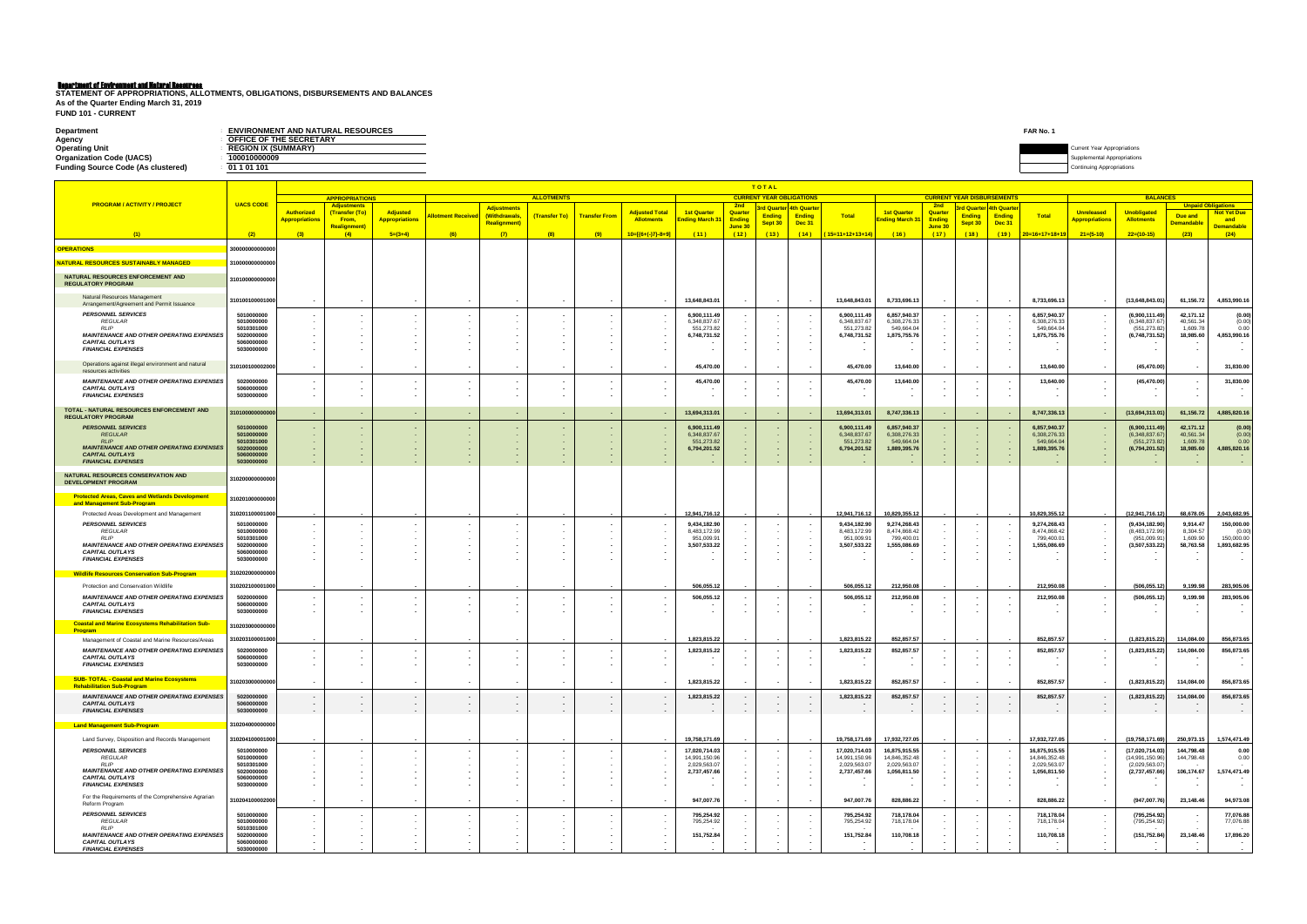**FUND 101 - CURRENT**

| <b>Department</b>                         | <b>ENVIRONMENT AND NATURAL RESOURCES</b> | FAR No. |                                    |
|-------------------------------------------|------------------------------------------|---------|------------------------------------|
| Agency                                    | OFFICE OF THE SECRETARY                  |         |                                    |
| <b>Operating Unit</b>                     | <b>REGION IX (SUMMARY)</b>               |         | <b>Current Year Appropriations</b> |
| <b>Organization Code (UACS)</b>           | 100010000009                             |         | mental Appropriations              |
| <b>Funding Source Code (As clustered)</b> | 01 1 01 101                              |         | a Appropriations. .                |
|                                           |                                          |         |                                    |

**STATEMENT OF APPROPRIATIONS, ALLOTMENTS, OBLIGATIONS, DISBURSEMENTS AND BALANCES As of the Quarter Ending March 31, 2019**

|                                                                                      |                               |                                                  | <b>TOTAL</b><br><b>APPROPRIATIONS</b><br><b>ALLOTMENTS</b><br><b>CURRENT YEAR OBLIGATIONS</b><br><b>CURRENT YEAR DISBURSEMENTS</b> |                                         |                                    |                                     |        |                                    |                                            |                                     |                          |                  |                   |                                |                                                   |                          |                                    |                                     |                                |                                            |                                         |                                                      |                            |
|--------------------------------------------------------------------------------------|-------------------------------|--------------------------------------------------|------------------------------------------------------------------------------------------------------------------------------------|-----------------------------------------|------------------------------------|-------------------------------------|--------|------------------------------------|--------------------------------------------|-------------------------------------|--------------------------|------------------|-------------------|--------------------------------|---------------------------------------------------|--------------------------|------------------------------------|-------------------------------------|--------------------------------|--------------------------------------------|-----------------------------------------|------------------------------------------------------|----------------------------|
| <b>PROGRAM / ACTIVITY / PROJECT</b>                                                  | <b>UACS CODE</b>              |                                                  | Adiustments                                                                                                                        |                                         |                                    |                                     |        |                                    |                                            |                                     | 2nd                      | 3rd Quarter      | <b>4th Quarte</b> |                                |                                                   | 2nd                      |                                    | 3rd Quarter <mark>4th Quarte</mark> |                                |                                            | <b>BALANCES</b>                         |                                                      | <b>Unpaid Obligations</b>  |
|                                                                                      |                               | <b>Authorized</b><br><mark>Appropriations</mark> | (Transfer (To)<br>From,                                                                                                            | Adjusted<br><mark>Appropriations</mark> | <b>Allotment Receiver</b>          | <b>Adjustments</b><br>(Withdrawals, |        | (Transfer To) Transfer From        | <b>Adjusted Total</b><br><b>Allotments</b> | <b>1st Quarter</b><br>nding March 3 | Quarter<br><b>Ending</b> | <b>Ending</b>    | <b>Ending</b>     | <b>Total</b>                   | <b>1st Quarter</b><br><mark>Inding March 3</mark> | Quarter<br><b>Ending</b> | <b>Ending</b>                      | <b>Ending</b>                       | <b>Total</b>                   | <b>Unreleased</b><br><b>Appropriations</b> | <b>Unobligated</b><br><b>Allotments</b> | Due and                                              | <b>Not Yet Due</b><br>and  |
|                                                                                      |                               |                                                  | <b>Realignment</b> )                                                                                                               |                                         |                                    | <b>Realignment)</b>                 |        |                                    |                                            |                                     | June 30                  | Sept 30          | <b>Dec 31</b>     |                                |                                                   | June 30                  | Sept 3                             | Dec 31                              |                                |                                            |                                         | <b>Demandable</b>                                    | <b>Demandable</b>          |
| (1)                                                                                  | (2)                           | (3)                                              | (4)                                                                                                                                | $5=(3+4)$                               | (6)                                | (7)                                 | (8)    | (9)                                | $10=[(6+(-)7)-8+9]$                        | (11)                                | (12)                     | (13)             | (14)              | <mark>(15=11+12+13+14)</mark>  | (16)                                              | (17)                     | (18)                               | (19)                                | $20=16+17+18+19$               | $21=(5-10)$                                | $22=(10-15)$                            | (23)                                                 | (24)                       |
| <b>OPERATIONS</b>                                                                    | 800000000000000               |                                                  |                                                                                                                                    |                                         |                                    |                                     |        |                                    |                                            |                                     |                          |                  |                   |                                |                                                   |                          |                                    |                                     |                                |                                            |                                         |                                                      |                            |
| <b>NATURAL RESOURCES SUSTAINABLY MANAGED</b>                                         | 310000000000000               |                                                  |                                                                                                                                    |                                         |                                    |                                     |        |                                    |                                            |                                     |                          |                  |                   |                                |                                                   |                          |                                    |                                     |                                |                                            |                                         |                                                      |                            |
| NATURAL RESOURCES ENFORCEMENT AND<br><b>REGULATORY PROGRAM</b>                       | 310100000000000               |                                                  |                                                                                                                                    |                                         |                                    |                                     |        |                                    |                                            |                                     |                          |                  |                   |                                |                                                   |                          |                                    |                                     |                                |                                            |                                         |                                                      |                            |
| Natural Resources Management<br>Arrangement/Agreement and Permit Issuance            | 310100100001000               | $\sim$                                           |                                                                                                                                    |                                         |                                    |                                     |        |                                    |                                            | 13,648,843.01                       |                          | $\sim$           |                   | 13,648,843.01                  | 8,733,696.13                                      |                          | $\sim$                             |                                     | 8,733,696.13                   |                                            | (13,648,843.01)                         | 61,156.72                                            | 4,853,990.16               |
| <b>PERSONNEL SERVICES</b><br><b>REGULAR</b>                                          | 5010000000<br>5010000000      | $\sim$                                           |                                                                                                                                    |                                         |                                    |                                     |        |                                    |                                            | 6,900,111.49<br>6,348,837.67        |                          |                  |                   | 6,900,111.49<br>6,348,837.67   | 6,857,940.37<br>6,308,276.33                      |                          |                                    |                                     | 6,857,940.37<br>6,308,276.33   |                                            | (6,900,111.49)<br>(6,348,837.67)        | 42,171.12<br>40,561.34                               | (0.00)<br>(0.00)           |
| <b>RLIP</b><br><b>MAINTENANCE AND OTHER OPERATING EXPENSES</b>                       | 5010301000<br>5020000000      |                                                  |                                                                                                                                    |                                         |                                    |                                     |        |                                    |                                            | 551,273.82<br>6,748,731.52          |                          |                  |                   | 551,273.82<br>6,748,731.52     | 549,664.04<br>1,875,755.76                        |                          | $\sim$                             |                                     | 549.664.04<br>1,875,755.76     |                                            | (551, 273.82)<br>(6,748,731.52)         | 1,609.78<br>18,985.60                                | 0.00<br>4,853,990.16       |
| <b>CAPITAL OUTLAYS</b><br><b>FINANCIAL EXPENSES</b>                                  | 5060000000<br>5030000000      |                                                  |                                                                                                                                    |                                         |                                    |                                     |        |                                    |                                            |                                     |                          |                  |                   |                                |                                                   |                          |                                    |                                     |                                |                                            |                                         | $\overline{\phantom{a}}$<br>$\overline{\phantom{a}}$ |                            |
| Operations against illegal environment and natural<br>resources activities           | 310100100002000               |                                                  |                                                                                                                                    |                                         |                                    |                                     |        |                                    |                                            | 45,470.00                           |                          |                  |                   | 45,470.00                      | 13,640.00                                         |                          |                                    |                                     | 13,640.00                      |                                            | (45, 470.00)                            |                                                      | 31,830.00                  |
| <b>MAINTENANCE AND OTHER OPERATING EXPENSES</b>                                      | 5020000000                    | $\sim$                                           |                                                                                                                                    |                                         |                                    |                                     |        |                                    |                                            | 45,470.00                           |                          |                  |                   | 45,470.00                      | 13,640.00                                         |                          |                                    |                                     | 13,640.00                      |                                            | (45, 470.00)                            |                                                      | 31,830.00                  |
| <b>CAPITAL OUTLAYS</b><br><b>FINANCIAL EXPENSES</b>                                  | 5060000000<br>5030000000      | $\sim$                                           |                                                                                                                                    |                                         |                                    |                                     |        |                                    |                                            |                                     |                          |                  |                   |                                |                                                   |                          |                                    |                                     |                                |                                            |                                         | $\overline{\phantom{a}}$<br>$\overline{\phantom{a}}$ |                            |
| TOTAL - NATURAL RESOURCES ENFORCEMENT AND<br><b>REGULATORY PROGRAM</b>               | 810100000000000               | $\sim$                                           |                                                                                                                                    |                                         | ٠.                                 |                                     |        |                                    |                                            | 13,694,313.01                       |                          |                  |                   | 13,694,313.01                  | 8,747,336.13                                      |                          | $\sim$                             |                                     | 8,747,336.13                   |                                            | (13,694,313.01)                         | 61,156.72                                            | 4,885,820.16               |
| <b>PERSONNEL SERVICES</b>                                                            | 5010000000                    | $\sim$                                           |                                                                                                                                    |                                         |                                    |                                     |        |                                    |                                            | 6,900,111.49                        |                          |                  |                   | 6,900,111.49                   | 6,857,940.37                                      |                          |                                    |                                     | 6,857,940.37                   |                                            | (6,900,111.49)                          | 42,171.12                                            | (0.00)                     |
| <b>REGULAR</b><br>RIP                                                                | 5010000000<br>5010301000      | $\sim$                                           |                                                                                                                                    |                                         |                                    |                                     |        |                                    |                                            | 6,348,837.67<br>551,273.82          |                          |                  |                   | 6,348,837.67<br>551,273.82     | 6,308,276.33<br>549,664.04                        |                          |                                    |                                     | 6,308,276.33<br>549,664.04     |                                            | (6,348,837.67)<br>(551, 273.82)         | 40,561.34<br>1,609.78                                | (0.00)<br>0.00             |
| <b>MAINTENANCE AND OTHER OPERATING EXPENSES</b><br><b>CAPITAL OUTLAYS</b>            | 5020000000<br>5060000000      |                                                  |                                                                                                                                    |                                         |                                    |                                     |        |                                    |                                            | 6,794,201.52                        |                          |                  |                   | 6,794,201.52                   | 1,889,395.76                                      |                          |                                    |                                     | 1,889,395.76                   |                                            | (6,794,201.52)                          | 18,985.60                                            | 4,885,820.16               |
| <b>FINANCIAL EXPENSES</b><br>NATURAL RESOURCES CONSERVATION AND                      | 5030000000<br>310200000000000 |                                                  |                                                                                                                                    |                                         |                                    |                                     |        |                                    |                                            |                                     |                          |                  |                   |                                |                                                   |                          | $\overline{\phantom{a}}$           | <b>.</b>                            | ۰.                             | $\sim$                                     |                                         | $\sim$                                               |                            |
| DEVELOPMENT PROGRAM                                                                  |                               |                                                  |                                                                                                                                    |                                         |                                    |                                     |        |                                    |                                            |                                     |                          |                  |                   |                                |                                                   |                          |                                    |                                     |                                |                                            |                                         |                                                      |                            |
| <b>Protected Areas, Caves and Wetlands Development</b><br>and Management Sub-Program | 310201000000000               |                                                  |                                                                                                                                    |                                         |                                    |                                     |        |                                    |                                            |                                     |                          |                  |                   |                                |                                                   |                          |                                    |                                     |                                |                                            |                                         |                                                      |                            |
| Protected Areas Development and Management                                           | 310201100001000               |                                                  |                                                                                                                                    |                                         |                                    |                                     |        |                                    |                                            | 12,941,716.12                       |                          |                  |                   | 12,941,716.12                  | 10,829,355.12                                     |                          |                                    |                                     | 10,829,355.12                  |                                            | (12, 941, 716.12)                       | 68,678.05                                            | 2,043,682.95               |
| <b>PERSONNEL SERVICES</b><br><b>REGULAR</b>                                          | 5010000000<br>5010000000      |                                                  |                                                                                                                                    |                                         |                                    |                                     |        |                                    |                                            | 9,434,182.90<br>8,483,172.99        |                          |                  |                   | 9,434,182.90<br>8,483,172.99   | 9,274,268.43<br>8,474,868.42                      |                          |                                    |                                     | 9,274,268.43<br>8,474,868.42   |                                            | (9,434,182.90)<br>(8,483,172.99)        | 9,914.47<br>8,304.57                                 | 150,000.00<br>(0.00)       |
| RI IP<br><b>MAINTENANCE AND OTHER OPERATING EXPENSES</b>                             | 5010301000<br>5020000000      |                                                  |                                                                                                                                    |                                         |                                    |                                     |        |                                    |                                            | 951,009.9<br>3,507,533.22           |                          |                  |                   | 951,009.9<br>3,507,533.22      | 799,400.0<br>1,555,086.69                         |                          | $\sim$                             |                                     | 799,400.0<br>1,555,086.69      |                                            | (951,009.91<br>(3,507,533.22)           | 1,609.90<br>58,763.58                                | 150,000.00<br>1,893,682.95 |
| <b>CAPITAL OUTLAYS</b><br><b>FINANCIAL EXPENSES</b>                                  | 5060000000<br>5030000000      |                                                  |                                                                                                                                    |                                         |                                    |                                     |        |                                    |                                            |                                     |                          |                  |                   |                                |                                                   |                          | $\sim$<br>$\overline{\phantom{a}}$ |                                     |                                |                                            |                                         | $\overline{\phantom{a}}$<br>$\blacksquare$           | $\sim$                     |
| <b>Wildlife Resources Conservation Sub-Program</b>                                   | 310202000000000               |                                                  |                                                                                                                                    |                                         |                                    |                                     |        |                                    |                                            |                                     |                          |                  |                   |                                |                                                   |                          |                                    |                                     |                                |                                            |                                         |                                                      |                            |
| Protection and Conservation Wildlife                                                 | 310202100001000               |                                                  |                                                                                                                                    |                                         |                                    |                                     |        |                                    |                                            | 506,055.12                          |                          |                  |                   | 506,055.12                     | 212,950.08                                        |                          |                                    |                                     | 212,950.08                     |                                            | (506, 055.12)                           | 9,199.98                                             | 283,905.06                 |
| <b>MAINTENANCE AND OTHER OPERATING EXPENSES</b>                                      | 5020000000                    |                                                  |                                                                                                                                    |                                         |                                    |                                     |        |                                    |                                            | 506,055.12                          |                          |                  |                   | 506,055.12                     | 212,950.08                                        |                          |                                    |                                     | 212,950.08                     |                                            | (506, 055.12)                           | 9,199.98                                             | 283,905.06                 |
| <b>CAPITAL OUTLAYS</b><br><b>FINANCIAL EXPENSES</b>                                  | 5060000000<br>5030000000      |                                                  |                                                                                                                                    |                                         |                                    |                                     |        |                                    |                                            |                                     |                          |                  |                   |                                |                                                   |                          | $\overline{\phantom{a}}$           |                                     |                                |                                            |                                         | $\overline{\phantom{a}}$                             |                            |
| <b>Coastal and Marine Ecosystems Rehabilitation Sub-</b>                             | 310203000000000               |                                                  |                                                                                                                                    |                                         |                                    |                                     |        |                                    |                                            |                                     |                          |                  |                   |                                |                                                   |                          |                                    |                                     |                                |                                            |                                         |                                                      |                            |
| <b>Program</b><br>Management of Coastal and Marine Resources/Areas                   | 310203100001000               |                                                  |                                                                                                                                    |                                         |                                    |                                     |        |                                    |                                            | 1,823,815.22                        |                          |                  |                   | 1,823,815.22                   | 852,857.57                                        |                          |                                    |                                     | 852,857.57                     |                                            | (1,823,815.22)                          | 114,084.00                                           | 856,873.65                 |
| <b>MAINTENANCE AND OTHER OPERATING EXPENSES</b>                                      | 5020000000                    | $\sim$                                           |                                                                                                                                    |                                         |                                    |                                     |        |                                    |                                            | 1,823,815.22                        |                          |                  |                   | 1,823,815.22                   | 852,857.57                                        |                          |                                    |                                     | 852,857.57                     |                                            | (1,823,815.22)                          | 114,084.00                                           | 856,873.65                 |
| <b>CAPITAL OUTLAYS</b><br><b>FINANCIAL EXPENSES</b>                                  | 5060000000<br>5030000000      | $\sim$                                           |                                                                                                                                    |                                         |                                    |                                     |        |                                    |                                            |                                     |                          |                  |                   |                                |                                                   |                          |                                    |                                     |                                |                                            |                                         |                                                      |                            |
| <b>SUB-TOTAL - Coastal and Marine Ecosystems</b>                                     | 310203000000000               |                                                  |                                                                                                                                    |                                         |                                    |                                     |        |                                    |                                            |                                     |                          |                  |                   |                                | 852,857.57                                        |                          |                                    |                                     | 852,857.57                     |                                            |                                         |                                                      | 856,873.65                 |
| <b>Rehabilitation Sub-Program</b>                                                    |                               |                                                  |                                                                                                                                    |                                         |                                    |                                     |        |                                    |                                            | 1,823,815.22                        |                          |                  |                   | 1,823,815.22                   |                                                   |                          | $\sim$                             |                                     |                                |                                            | (1,823,815.22)                          | 114,084.00                                           |                            |
| <b>MAINTENANCE AND OTHER OPERATING EXPENSES</b><br><b>CAPITAL OUTLAYS</b>            | 5020000000<br>5060000000      | $\sim$<br>$\sim$                                 | $\sim$<br>$\sim$                                                                                                                   | $\sim$<br>$\sim$                        | $\sim$<br>$\sim$                   | $\sim$<br>$\sim$                    | $\sim$ | $\overline{\phantom{a}}$<br>$\sim$ |                                            | 1,823,815.22                        |                          | $\sim$<br>$\sim$ | $\sim$            | 1,823,815.22                   | 852,857.57                                        |                          | $\sim$<br>$\sim$                   | . .                                 | 852,857.57                     | $\sim$                                     | (1,823,815.22)                          | 114,084.00<br>$\overline{\phantom{a}}$               | 856,873.65<br>$\sim$       |
| <b>FINANCIAL EXPENSES</b>                                                            | 5030000000                    | $\sim$                                           | $\sim$                                                                                                                             | $\sim$                                  | $\sim$                             | $\sim$                              | $\sim$ | $\sim$                             |                                            | $\sim$                              | $\sim$                   | $\sim$ $-$       | $\sim$ $-$        | $\sim$                         | $\sim$ $-$                                        | $\sim$                   | $\sim$ $-$                         | <b>Contract</b>                     | $\sim$ $-$                     | $\sim$                                     | $\sim$ $-$                              | $\sim$                                               | <b>Contract Contract</b>   |
| <b>Land Management Sub-Program</b>                                                   | 310204000000000               |                                                  |                                                                                                                                    |                                         |                                    |                                     |        |                                    |                                            |                                     |                          |                  |                   |                                |                                                   |                          |                                    |                                     |                                |                                            |                                         |                                                      |                            |
| Land Survey, Disposition and Records Management                                      | 310204100001000               |                                                  |                                                                                                                                    |                                         |                                    |                                     |        |                                    |                                            | 19,758,171.69                       |                          |                  |                   | 19,758,171.69                  | 17,932,727.05                                     |                          |                                    |                                     | 17,932,727.05                  | $\sim$                                     | (19,758,171.69)                         | 250,973.15                                           | 1,574,471.49               |
| <b>PERSONNEL SERVICES</b><br>REGULAR                                                 | 5010000000<br>5010000000      | $\sim$<br>$\sim$                                 |                                                                                                                                    |                                         |                                    |                                     |        |                                    |                                            | 17,020,714.03<br>14,991,150.96      |                          |                  |                   | 17,020,714.03<br>14,991,150.96 | 16,875,915.55<br>14,846,352.48                    |                          | $\sim$                             |                                     | 16,875,915.55<br>14,846,352.48 |                                            | (17,020,714.03)<br>(14,991,150.96)      | 144,798.48<br>144,798.48                             | 0.00<br>0.00               |
| <b>RLIP</b><br><b>MAINTENANCE AND OTHER OPERATING EXPENSES</b>                       | 5010301000<br>5020000000      | $\sim$<br>$\sim$                                 |                                                                                                                                    |                                         |                                    |                                     |        |                                    |                                            | 2,029,563.07<br>2,737,457.66        |                          |                  |                   | 2,029,563.07<br>2,737,457.66   | 2,029,563.07<br>1,056,811.50                      |                          | $\sim$<br>$\sim$                   |                                     | 2,029,563.07<br>1,056,811.50   | $\sim$<br>$\overline{\phantom{a}}$         | (2,029,563.07)<br>(2,737,457.66)        | 106,174.67                                           | 1,574,471.49               |
| <b>CAPITAL OUTLAYS</b><br><b>FINANCIAL EXPENSES</b>                                  | 5060000000<br>5030000000      | $\sim$<br>$\sim$                                 |                                                                                                                                    |                                         | $\overline{\phantom{a}}$           | $\overline{\phantom{a}}$            |        |                                    |                                            |                                     |                          |                  |                   |                                |                                                   |                          | $\sim$<br>$\sim$                   | $\sim$                              |                                |                                            |                                         | $\sim$                                               | $\overline{\phantom{a}}$   |
| For the Requirements of the Comprehensive Agrarian<br>Reform Program                 | 310204100002000               | $\sim$                                           |                                                                                                                                    |                                         |                                    |                                     |        |                                    |                                            | 947,007.76                          | $\sim$                   | $\sim$           |                   | 947,007.76                     | 828,886.22                                        |                          | $\sim$                             |                                     | 828,886.22                     | $\overline{\phantom{a}}$                   | (947,007.76)                            | 23,148.46                                            | 94,973.08                  |
| <b>PERSONNEL SERVICES</b>                                                            | 5010000000                    |                                                  |                                                                                                                                    |                                         |                                    |                                     |        |                                    |                                            | 795,254.92                          |                          |                  |                   | 795,254.92                     | 718,178.04                                        |                          | $\sim$                             |                                     | 718,178.04                     |                                            | (795, 254.92)                           |                                                      | 77,076.88                  |
| REGULAR<br><b>RLIP</b>                                                               | 5010000000<br>5010301000      | $\sim$<br>$\sim$                                 |                                                                                                                                    |                                         |                                    |                                     |        |                                    | $\sim$                                     | 795,254.92                          |                          |                  |                   | 795,254.92                     | 718,178.04                                        |                          | $\sim$<br>$\sim$                   |                                     | 718,178.04                     |                                            | (795, 254.92)                           | $\sim$                                               | 77,076.88                  |
| <b>MAINTENANCE AND OTHER OPERATING EXPENSES</b><br><b>CAPITAL OUTLAYS</b>            | 5020000000<br>5060000000      | $\sim$<br>$\sim$                                 |                                                                                                                                    |                                         | $\overline{\phantom{a}}$<br>$\sim$ | $\overline{\phantom{a}}$            |        |                                    | $\overline{\phantom{a}}$                   | 151,752.84                          | $\sim$                   | $\sim$           | $\sim$            | 151,752.84                     | 110,708.18                                        |                          | $\sim$                             | . .                                 | 110,708.18                     | $\overline{\phantom{a}}$                   | (151, 752.84)                           | 23,148.46<br>$\overline{\phantom{a}}$                | 17,896.20<br>$\sim$        |
| <b>FINANCIAL EXPENSES</b>                                                            | 5030000000                    |                                                  |                                                                                                                                    |                                         |                                    |                                     |        |                                    |                                            |                                     |                          |                  |                   |                                |                                                   |                          |                                    |                                     |                                |                                            |                                         |                                                      | $\sim$                     |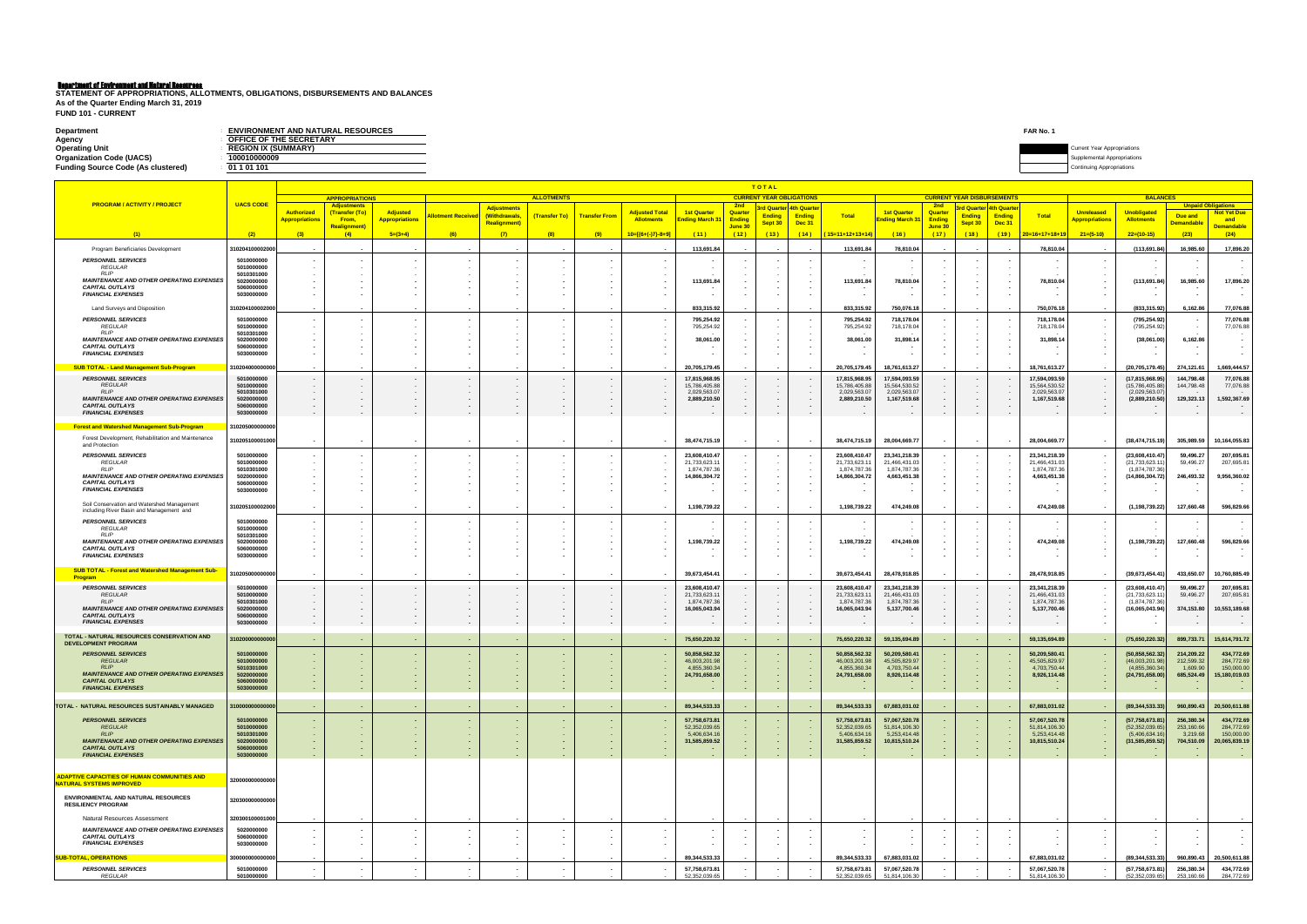**FUND 101 - CURRENT**

| <b>Department</b>                         | <b>ENVIRONMENT AND NATURAL RESOURCES</b> | FAR No. |                                    |
|-------------------------------------------|------------------------------------------|---------|------------------------------------|
| Agency                                    | OFFICE OF THE SECRETARY                  |         |                                    |
| <b>Operating Unit</b>                     | <b>REGION IX (SUMMARY)</b>               |         | <b>Current Year Appropriations</b> |
| <b>Organization Code (UACS)</b>           | 100010000009                             |         | ental Appropriations               |
| <b>Funding Source Code (As clustered)</b> | 01 1 01 101                              |         | Continuing Appropriations          |
|                                           |                                          |         |                                    |

**STATEMENT OF APPROPRIATIONS, ALLOTMENTS, OBLIGATIONS, DISBURSEMENTS AND BALANCES As of the Quarter Ending March 31, 2019**

|                                                                                        |                          |                                             |                                             |                                   |                                    |                                     |                   |                      |                                     |                                      |                   | TOTAL<br><b>CURRENT YEAR OBLIGATIONS</b> |                                         |                                |                                      |                          |               |                                                    |                                | <b>BALANCES</b>                            |                                         |                           |                                  |  |
|----------------------------------------------------------------------------------------|--------------------------|---------------------------------------------|---------------------------------------------|-----------------------------------|------------------------------------|-------------------------------------|-------------------|----------------------|-------------------------------------|--------------------------------------|-------------------|------------------------------------------|-----------------------------------------|--------------------------------|--------------------------------------|--------------------------|---------------|----------------------------------------------------|--------------------------------|--------------------------------------------|-----------------------------------------|---------------------------|----------------------------------|--|
| <b>PROGRAM / ACTIVITY / PROJECT</b>                                                    | <b>UACS CODE</b>         |                                             | <b>APPROPRIATIONS</b><br><b>Adjustments</b> |                                   |                                    |                                     | <b>ALLOTMENTS</b> |                      |                                     |                                      | – 2nd             |                                          |                                         |                                |                                      | 2 <sub>nd</sub>          |               | <b>CURRENT YEAR DISBURSEMENTS</b>                  |                                |                                            |                                         | <b>Unpaid Obligations</b> |                                  |  |
|                                                                                        |                          | <b>Authorized</b><br><u> Appropriations</u> | (Transfer (To)<br>From,                     | Adjusted<br><b>Appropriations</b> | <b>Ilotment Receive</b>            | <b>Adjustments</b><br>(Withdrawals, | (Transfer To)     | <b>Transfer From</b> | <b>Adjusted Total</b><br>Allotments | <b>1st Quarter</b><br>Ending March 3 | Quarter<br>Ending | <b>Ending</b>                            | 3rd Quarter 4th Quarte<br><b>Ending</b> | Total                          | <b>1st Quarter</b><br>Inding March 3 | Quarter<br><b>Ending</b> | <b>Ending</b> | <mark>d Quarter 4th Quarte</mark><br><b>Ending</b> | <b>Total</b>                   | <b>Unreleased</b><br><b>Appropriations</b> | <b>Unobligated</b><br><b>Allotments</b> | Due and                   | <b>Not Yet Due</b><br>and        |  |
|                                                                                        |                          |                                             | <b>Realignment)</b>                         |                                   |                                    | <b>Realignment</b> )                |                   |                      |                                     |                                      | June 30           | Sept 30                                  | Dec 31                                  |                                |                                      | June 30                  | Sept 30       | <b>Dec 31</b>                                      |                                |                                            |                                         | <b>Demandable</b>         | <mark>Demandable</mark>          |  |
|                                                                                        | (2)                      | (3)                                         | (4)                                         | $5=(3+4)$                         | (6)                                | (7)                                 | (8)               | (9)                  | $10=[(6+(-)7)-8+9]$                 | (11)                                 | (12)              | (13)                                     | (14)                                    | 15=11+12+13+14                 | (16)                                 | (17)                     | (18)          | (19)                                               | $20=16+17+18+19$               | $21=(5-10)$                                | $22=(10-15)$                            | (23)                      | (24)                             |  |
| Program Beneficiaries Development                                                      | 310204100002000          |                                             |                                             |                                   |                                    |                                     |                   |                      |                                     | 113,691.84                           |                   |                                          |                                         | 113,691.84                     | 78,810.04                            |                          |               |                                                    | 78,810.04                      |                                            | (113, 691.84)                           | 16,985.60                 | 17,896.20                        |  |
| <b>PERSONNEL SERVICES</b><br><b>REGULAR</b>                                            | 5010000000<br>5010000000 |                                             |                                             |                                   | $\sim$                             |                                     |                   |                      |                                     |                                      |                   |                                          |                                         |                                |                                      |                          |               |                                                    |                                |                                            |                                         |                           |                                  |  |
| <b>RLIP</b>                                                                            | 5010301000               |                                             |                                             |                                   |                                    |                                     |                   |                      |                                     |                                      |                   |                                          |                                         |                                |                                      |                          |               |                                                    |                                |                                            |                                         |                           |                                  |  |
| <b>MAINTENANCE AND OTHER OPERATING EXPENSES</b><br><b>CAPITAL OUTLAYS</b>              | 5020000000<br>5060000000 |                                             |                                             |                                   |                                    |                                     |                   |                      |                                     | 113,691.84                           |                   |                                          |                                         | 113,691.84                     | 78,810.04                            |                          |               |                                                    | 78,810.04                      |                                            | (113,691.84)                            | 16,985.60                 | 17,896.20                        |  |
| <b>FINANCIAL EXPENSES</b>                                                              | 5030000000               |                                             |                                             |                                   |                                    |                                     |                   |                      |                                     |                                      |                   |                                          |                                         |                                |                                      |                          |               |                                                    |                                |                                            |                                         |                           |                                  |  |
| Land Surveys and Disposition                                                           | 310204100002000          |                                             |                                             |                                   |                                    |                                     |                   |                      |                                     | 833,315.92                           |                   |                                          |                                         | 833,315.92                     | 750,076.18                           |                          |               |                                                    | 750,076.18                     |                                            | (833, 315.92)                           | 6,162.86                  | 77,076.88                        |  |
| <b>PERSONNEL SERVICES</b><br><b>REGULAR</b>                                            | 5010000000<br>5010000000 |                                             |                                             |                                   | $\sim$<br>$\sim$                   |                                     |                   |                      |                                     | 795,254.92<br>795,254.92             |                   |                                          |                                         | 795,254.92<br>795,254.92       | 718,178.04<br>718,178.04             |                          |               |                                                    | 718,178.04<br>718,178.04       |                                            | (795, 254.92)<br>(795, 254.92)          | $\sim$                    | 77,076.88<br>77,076.88           |  |
| <b>RLIP</b><br><b>MAINTENANCE AND OTHER OPERATING EXPENSES</b>                         | 5010301000<br>5020000000 |                                             |                                             |                                   |                                    |                                     |                   |                      |                                     | 38,061.00                            |                   |                                          |                                         | 38,061.00                      | 31,898.14                            |                          |               |                                                    | 31,898.14                      |                                            | (38,061.00)                             | 6,162.86                  |                                  |  |
| <b>CAPITAL OUTLAYS</b>                                                                 | 5060000000               |                                             |                                             |                                   |                                    |                                     |                   |                      |                                     |                                      |                   |                                          |                                         |                                |                                      |                          |               |                                                    |                                |                                            |                                         |                           |                                  |  |
| <b>FINANCIAL EXPENSES</b>                                                              | 5030000000               |                                             |                                             |                                   |                                    |                                     |                   |                      |                                     |                                      |                   |                                          |                                         |                                |                                      |                          |               |                                                    |                                |                                            |                                         |                           |                                  |  |
| <b>SUB TOTAL - Land Management Sub-Program</b>                                         | 810204000000000          |                                             |                                             |                                   |                                    |                                     |                   |                      |                                     | 20,705,179.45                        |                   |                                          |                                         | 20,705,179.45                  | 18,761,613.27                        |                          |               |                                                    | 18,761,613.27                  |                                            | (20, 705, 179.45)                       | 274,121.61                | 1,669,444.57                     |  |
| <b>PERSONNEL SERVICES</b><br><b>REGULAR</b>                                            | 5010000000<br>5010000000 | $\sim$                                      |                                             |                                   | $\sim$                             | $\overline{\phantom{a}}$            |                   |                      | $\sim$                              | 17,815,968.95<br>15,786,405.88       |                   |                                          |                                         | 17,815,968.9<br>15,786,405.88  | 17,594,093.59<br>15,564,530.52       |                          |               |                                                    | 17,594,093.59<br>15,564,530.52 |                                            | (17,815,968.95)<br>(15,786,405.88)      | 144,798.48<br>144,798.48  | 77,076.88<br>77,076.88           |  |
| <b>RLIP</b><br><b>MAINTENANCE AND OTHER OPERATING EXPENSES</b>                         | 5010301000<br>5020000000 |                                             |                                             |                                   |                                    |                                     |                   |                      |                                     | 2,029,563.07<br>2,889,210.50         |                   |                                          |                                         | 2,029,563.0<br>2,889,210.50    | 2,029,563.07<br>1,167,519.68         |                          |               |                                                    | 2,029,563.07<br>1,167,519.68   |                                            | (2,029,563.07)<br>(2,889,210.50)        | 129,323.13                | 1,592,367.69                     |  |
| <b>CAPITAL OUTLAYS</b><br><b>FINANCIAL EXPENSES</b>                                    | 5060000000<br>5030000000 |                                             |                                             |                                   | $\sim$<br>$\sim$                   |                                     |                   |                      |                                     |                                      |                   |                                          |                                         |                                |                                      |                          |               | $\sim$                                             | $\sim$                         | $\overline{\phantom{a}}$                   |                                         | $\overline{\phantom{a}}$  |                                  |  |
| <b>Forest and Watershed Management Sub-Program</b>                                     | 310205000000000          |                                             |                                             |                                   |                                    |                                     |                   |                      |                                     |                                      |                   |                                          |                                         |                                |                                      |                          |               |                                                    |                                |                                            |                                         |                           |                                  |  |
| Forest Development, Rehabilitation and Maintenance                                     |                          |                                             |                                             |                                   |                                    |                                     |                   |                      |                                     |                                      |                   |                                          |                                         |                                |                                      |                          |               |                                                    |                                |                                            |                                         |                           |                                  |  |
| and Protection                                                                         | 310205100001000          | $\sim$                                      |                                             |                                   |                                    |                                     |                   |                      |                                     | 38,474,715.19                        | $\sim$            | $\sim$                                   | $\overline{\phantom{a}}$                | 38,474,715.19                  | 28,004,669.77                        |                          |               |                                                    | 28,004,669.77                  |                                            | (38, 474, 715.19)                       | 305,989.59                | 10,164,055.83                    |  |
| <b>PERSONNEL SERVICES</b><br><b>REGULAR</b>                                            | 5010000000<br>5010000000 |                                             |                                             |                                   |                                    |                                     |                   |                      |                                     | 23,608,410.47<br>21,733,623.11       |                   |                                          |                                         | 23,608,410.47<br>21,733,623.1  | 23,341,218.39<br>21,466,431.03       |                          |               |                                                    | 23,341,218.39<br>21,466,431.03 |                                            | (23,608,410.47)<br>(21,733,623.11       | 59,496.27<br>59,496.27    | 207,695.81<br>207,695.81         |  |
| <b>RLIP</b>                                                                            | 5010301000               |                                             |                                             |                                   |                                    |                                     |                   |                      |                                     | 1,874,787.36                         |                   |                                          |                                         | 1,874,787.3                    | 1,874,787.36                         |                          |               |                                                    | 1,874,787.36                   |                                            | (1,874,787.36)                          |                           |                                  |  |
| <b>MAINTENANCE AND OTHER OPERATING EXPENSES</b><br><b>CAPITAL OUTLAYS</b>              | 5020000000<br>5060000000 |                                             |                                             |                                   |                                    |                                     |                   |                      |                                     | 14,866,304.72                        |                   |                                          |                                         | 14,866,304.72                  | 4,663,451.38                         |                          |               |                                                    | 4,663,451.38                   |                                            | (14,866,304.72)                         | 246,493.32                | 9,956,360.02                     |  |
| <b>FINANCIAL EXPENSES</b>                                                              | 5030000000               |                                             |                                             |                                   | $\sim$                             |                                     |                   |                      |                                     |                                      |                   |                                          |                                         |                                |                                      |                          |               | $\overline{\phantom{a}}$                           |                                |                                            |                                         | $\blacksquare$            |                                  |  |
| Soil Conservation and Watershed Management<br>including River Basin and Management and | 310205100002000          | $\sim$                                      |                                             |                                   |                                    |                                     |                   |                      | $\overline{\phantom{a}}$            | 1,198,739.22                         | $\sim$            | $\sim$                                   | $\sim$                                  | 1,198,739.22                   | 474,249.08                           |                          |               | . .                                                | 474,249.08                     |                                            | (1, 198, 739.22)                        | 127,660.48                | 596,829.66                       |  |
| <b>PERSONNEL SERVICES</b>                                                              | 5010000000               |                                             |                                             |                                   |                                    |                                     |                   |                      |                                     |                                      |                   |                                          |                                         |                                |                                      |                          |               |                                                    |                                |                                            |                                         |                           |                                  |  |
| <b>REGULAR</b><br><b>RLIP</b>                                                          | 5010000000<br>5010301000 |                                             |                                             |                                   |                                    |                                     |                   |                      |                                     |                                      |                   |                                          |                                         |                                |                                      |                          |               |                                                    |                                |                                            |                                         |                           |                                  |  |
| <b>MAINTENANCE AND OTHER OPERATING EXPENSES</b><br><b>CAPITAL OUTLAYS</b>              | 5020000000<br>5060000000 |                                             |                                             |                                   | $\overline{\phantom{a}}$           |                                     |                   |                      |                                     | 1,198,739.22                         |                   |                                          |                                         | 1,198,739.22                   | 474,249.0                            |                          |               | $\overline{\phantom{a}}$                           | 474,249.08                     |                                            | (1, 198, 739.22)                        | 127,660.48                | 596,829.66                       |  |
| <b>FINANCIAL EXPENSES</b>                                                              | 5030000000               |                                             |                                             |                                   |                                    |                                     |                   |                      |                                     |                                      |                   |                                          |                                         |                                |                                      |                          |               | $\overline{\phantom{a}}$                           |                                |                                            |                                         | $\overline{\phantom{a}}$  |                                  |  |
| <b>SUB TOTAL - Forest and Watershed Management Sub-</b>                                | 310205000000000          |                                             |                                             |                                   |                                    |                                     |                   |                      |                                     | 39,673,454.41                        |                   |                                          |                                         | 39,673,454.41                  | 28,478,918.85                        |                          |               |                                                    | 28,478,918.85                  |                                            | (39,673,454.41)                         | 433,650.07                | 10,760,885.49                    |  |
| <b>Program</b><br><b>PERSONNEL SERVICES</b>                                            |                          |                                             |                                             |                                   |                                    |                                     |                   |                      |                                     |                                      |                   |                                          |                                         |                                | 23,341,218.39                        |                          |               |                                                    |                                |                                            |                                         | 59,496.27                 |                                  |  |
| REGULAR                                                                                | 5010000000<br>5010000000 |                                             |                                             |                                   |                                    |                                     |                   |                      |                                     | 23,608,410.47<br>21,733,623.1        |                   |                                          |                                         | 23,608,410.4<br>21,733,623.1   | 21,466,431.0                         |                          |               |                                                    | 23,341,218.39<br>21,466,431.03 |                                            | (23,608,410.47)<br>(21, 733, 623.1)     | 59,496.27                 | 207,695.81<br>207,695.81         |  |
| <b>RLIP</b><br><b>MAINTENANCE AND OTHER OPERATING EXPENSES</b>                         | 5010301000<br>5020000000 |                                             |                                             |                                   | $\sim$<br>$\overline{\phantom{a}}$ |                                     |                   |                      | $\overline{\phantom{a}}$            | 1,874,787.36<br>16,065,043.94        |                   |                                          |                                         | 1,874,787.3<br>16,065,043.94   | 1,874,787.36<br>5,137,700.46         |                          |               |                                                    | 1,874,787.36<br>5,137,700.46   |                                            | (1,874,787.36)<br>(16,065,043.94)       | 374,153.80                | 10,553,189.68                    |  |
| <b>CAPITAL OUTLAYS</b><br><b>FINANCIAL EXPENSES</b>                                    | 5060000000<br>5030000000 |                                             |                                             | $\sim$                            | $\sim$<br>$\sim$                   |                                     |                   |                      |                                     |                                      | $\sim$            | $\sim$                                   | $\sim$<br>$\sim$                        |                                | $\sim$                               | $\sim$                   | $\sim$        | . .<br>$\sim$ 100 $\pm$                            | $\sim$                         |                                            |                                         | $\overline{\phantom{a}}$  |                                  |  |
| TOTAL - NATURAL RESOURCES CONSERVATION AND                                             |                          |                                             |                                             |                                   |                                    |                                     |                   |                      |                                     |                                      |                   |                                          |                                         |                                |                                      |                          |               |                                                    |                                |                                            |                                         |                           |                                  |  |
| <b>DEVELOPMENT PROGRAM</b>                                                             | 31020000000000           |                                             |                                             |                                   |                                    |                                     |                   |                      |                                     | 75,650,220.32                        |                   |                                          |                                         | 75,650,220.32                  | 59,135,694.89                        |                          |               |                                                    | 59,135,694.89                  |                                            | (75,650,220.32)                         | 899,733.71                | 15,614,791.72                    |  |
| <b>PERSONNEL SERVICES</b><br><b>REGULAR</b>                                            | 5010000000<br>5010000000 |                                             |                                             |                                   |                                    |                                     |                   |                      |                                     | 50,858,562.32<br>46,003,201.98       |                   |                                          |                                         | 50,858,562.3<br>46,003,201.9   | 50,209,580.4<br>45,505,829.97        |                          |               |                                                    | 50,209,580.41<br>45,505,829.9  |                                            | (50, 858, 562.32)<br>(46,003,201.98     | 214,209.22<br>212,599.32  | 434,772.69<br>284,772.69         |  |
| <b>RLIP</b><br><b>MAINTENANCE AND OTHER OPERATING EXPENSES</b>                         | 5010301000<br>5020000000 |                                             |                                             |                                   |                                    |                                     |                   |                      |                                     | 4,855,360.34<br>24,791,658.00        |                   |                                          |                                         | 4,855,360.3<br>24,791,658.00   | 4,703,750.44<br>8,926,114.48         |                          |               |                                                    | 4,703,750.44<br>8,926,114.48   |                                            | (4,855,360.34<br>(24,791,658.00)        | 1,609.90<br>685,524.49    | 150,000.00<br>15,180,019.03      |  |
| <b>CAPITAL OUTLAYS</b>                                                                 | 5060000000               |                                             |                                             |                                   | $\sim$                             | $\sim$                              |                   |                      | $\sim$                              |                                      |                   |                                          |                                         |                                |                                      |                          |               |                                                    | $\overline{\phantom{a}}$       |                                            |                                         |                           | $\sim$                           |  |
| <b>FINANCIAL EXPENSES</b>                                                              | 5030000000               |                                             |                                             | $\sim$                            | $\sim$                             | $\sim$                              |                   |                      | $\sim$                              |                                      | $\sim$            | $\sim$                                   |                                         |                                | $\sim$                               | - 1                      | $\sim$        | $\sim$                                             | $\sim$                         | $\sim$                                     |                                         | $\sim$                    |                                  |  |
| TOTAL - NATURAL RESOURCES SUSTAINABLY MANAGED                                          | 10000000000000           | $\sim$                                      |                                             | $\sim$ $-$                        | $\sim$                             | $\sim$                              |                   |                      | <b>COL</b>                          | 89, 344, 533. 33                     | $\sim$            | $\sim$                                   |                                         | 89, 344, 533. 33               | 67,883,031.02                        | $\sim$                   | $\sim$        | $\sim$                                             | 67,883,031.02                  | - -                                        | (89, 344, 533.33)                       | 960,890.43                | 20,500,611.88                    |  |
| <b>PERSONNEL SERVICES</b>                                                              | 5010000000               |                                             |                                             |                                   | $\sim$                             | $\sim$                              |                   |                      |                                     | 57,758,673.81                        |                   |                                          |                                         | 57,758,673.81                  | 57,067,520.78                        |                          |               |                                                    | 57,067,520.78                  |                                            | (57, 758, 673.81)                       | 256,380.34                | 434,772.69                       |  |
| <b>REGULAR</b><br>RLP                                                                  | 5010000000<br>5010301000 | $\sim$                                      |                                             | $\sim$ $-$                        | $\sim$<br>$\sim$                   | $\sim$                              |                   |                      | $\sim$<br>$\sim$                    | 52,352,039.65<br>5,406,634.16        |                   |                                          |                                         | 52,352,039.65<br>5,406,634.16  | 51,814,106.30<br>5,253,414.48        |                          |               |                                                    | 51,814,106.30<br>5,253,414.48  | $\sim$                                     | (52, 352, 039.65)<br>(5,406,634.16)     | 253,160.66<br>3,219.68    | 284,772.69<br>150,000.00         |  |
| <b>MAINTENANCE AND OTHER OPERATING EXPENSES</b><br><b>CAPITAL OUTLAYS</b>              | 5020000000<br>5060000000 |                                             |                                             | $\sim$<br>$\sim$                  | $\sim$<br>$\sim$                   | $\sim$<br>$\sim$                    |                   |                      | $\sim$<br>$\overline{\phantom{a}}$  | 31,585,859.52                        |                   |                                          |                                         | 31,585,859.52                  | 10,815,510.24                        |                          |               |                                                    | 10,815,510.24                  |                                            | (31, 585, 859.52)                       | 704,510.09<br>$\sim$      | 20,065,839.19<br><b>Contract</b> |  |
| <b>FINANCIAL EXPENSES</b>                                                              | 5030000000               |                                             |                                             | $\sim$                            | $\sim$                             | $\sim$                              | ٠                 |                      |                                     |                                      | $\sim$            |                                          |                                         | $\sim$                         | <b>CO</b>                            | $\sim$ $-$               | $\sim$        | $\sim$ 100 $\pm$                                   | $\sim$                         | $\sim$                                     |                                         | $\sim$                    | $\sim 10^{-1}$                   |  |
|                                                                                        |                          |                                             |                                             |                                   |                                    |                                     |                   |                      |                                     |                                      |                   |                                          |                                         |                                |                                      |                          |               |                                                    |                                |                                            |                                         |                           |                                  |  |
| <b>ADAPTIVE CAPACITIES OF HUMAN COMMUNITIES AND</b><br>NATURAL SYSTEMS IMPROVED        | 320000000000000          |                                             |                                             |                                   |                                    |                                     |                   |                      |                                     |                                      |                   |                                          |                                         |                                |                                      |                          |               |                                                    |                                |                                            |                                         |                           |                                  |  |
| ENVIRONMENTAL AND NATURAL RESOURCES                                                    | 320300000000000          |                                             |                                             |                                   |                                    |                                     |                   |                      |                                     |                                      |                   |                                          |                                         |                                |                                      |                          |               |                                                    |                                |                                            |                                         |                           |                                  |  |
| <b>RESILIENCY PROGRAM</b>                                                              |                          |                                             |                                             |                                   |                                    |                                     |                   |                      |                                     |                                      |                   |                                          |                                         |                                |                                      |                          |               |                                                    |                                |                                            |                                         |                           |                                  |  |
| Natural Resources Assessment                                                           | 320300100001000          |                                             |                                             |                                   |                                    |                                     |                   |                      |                                     |                                      |                   |                                          |                                         |                                |                                      |                          |               |                                                    |                                |                                            |                                         |                           |                                  |  |
| <b>MAINTENANCE AND OTHER OPERATING EXPENSES</b><br><b>CAPITAL OUTLAYS</b>              | 5020000000<br>5060000000 | $\sim$                                      |                                             | $\sim$                            | $\sim$                             | $\sim$                              |                   | $\blacksquare$       | $\overline{\phantom{a}}$<br>$\sim$  |                                      |                   |                                          | $\sim$                                  | $\sim$                         | $\sim$                               |                          |               |                                                    | $\sim$                         |                                            | $\sim$                                  | $\sim$                    | $\sim$<br>$\sim$                 |  |
| <b>FINANCIAL EXPENSES</b>                                                              | 5030000000               |                                             |                                             |                                   | $\sim$                             | $\overline{\phantom{a}}$            |                   | $\blacksquare$       | $\overline{\phantom{a}}$            |                                      |                   |                                          |                                         |                                |                                      |                          |               |                                                    | $\sim$                         |                                            |                                         |                           |                                  |  |
| <b>SUB-TOTAL, OPERATIONS</b>                                                           | 300000000000000          |                                             |                                             |                                   |                                    |                                     |                   |                      | $\sim$                              | 89, 344, 533. 33                     |                   |                                          |                                         | 89, 344, 533. 33               | 67.883.031.02                        |                          |               |                                                    | 67,883,031.02                  |                                            | (89, 344, 533, 33)                      | 960,890.43                | 20,500,611.88                    |  |
| <b>PERSONNEL SERVICES</b><br>REGULAR                                                   | 5010000000<br>5010000000 |                                             |                                             |                                   | $\sim$                             | $\overline{\phantom{a}}$            |                   |                      |                                     | 57,758,673.81<br>52,352,039.65       |                   |                                          |                                         | 57,758,673.81<br>52,352,039.65 | 57,067,520.78<br>51,814,106.30       |                          |               |                                                    | 57,067,520.78<br>51,814,106.30 |                                            | (57, 758, 673.81)<br>(52, 352, 039.65)  | 256,380.34<br>253,160.66  | 434,772.69<br>284,772.69         |  |